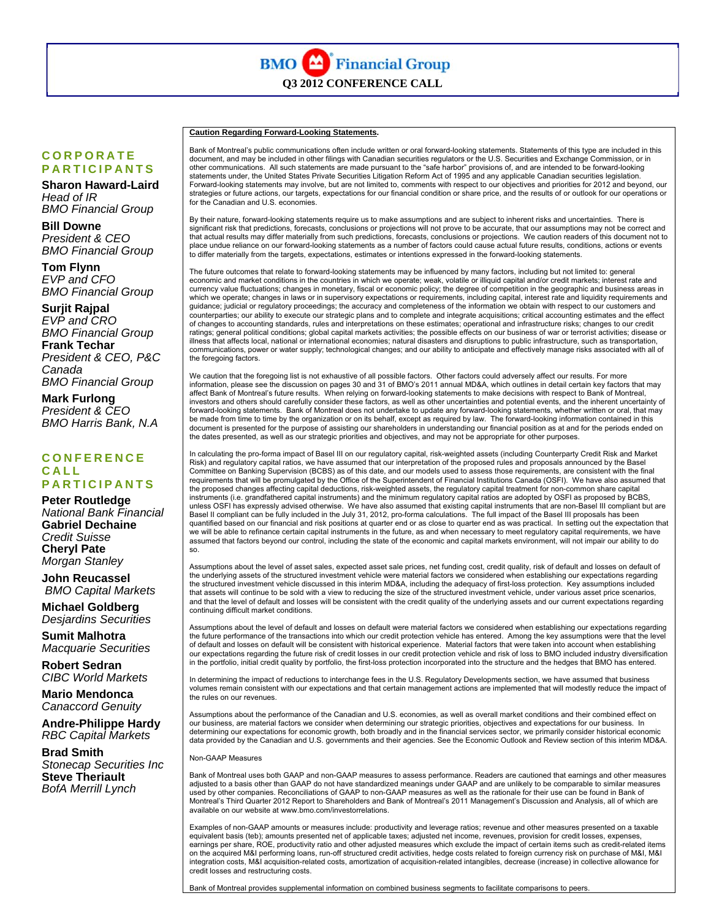

#### **Caution Regarding Forward-Looking Statements.**

## **CORPORATE PARTICIPANTS**

**Sharon Haward-Laird** *Head of IR BMO Financial Group* 

**Bill Downe** *President & CEO BMO Financial Group* 

**Tom Flynn** *EVP and CFO BMO Financial Group* 

**Surjit Rajpal** *EVP and CRO BMO Financial Group*  **Frank Techar** *President & CEO, P&C Canada BMO Financial Group* 

**Mark Furlong** *President & CEO BMO Harris Bank, N.A* 

#### **CONFERENCE CALL PARTICIPANTS**

**Peter Routledge** *National Bank Financial*  **Gabriel Dechaine** *Credit Suisse*  **Cheryl Pate** *Morgan Stanley* 

**John Reucassel**   *BMO Capital Markets* 

**Michael Goldberg** *Desjardins Securities* 

**Sumit Malhotra** *Macquarie Securities* 

**Robert Sedran** *CIBC World Markets* 

**Mario Mendonca** *Canaccord Genuity* 

**Andre-Philippe Hardy** *RBC Capital Markets* 

**Brad Smith** *Stonecap Securities Inc*  **Steve Theriault** *BofA Merrill Lynch* 

Bank of Montreal's public communications often include written or oral forward-looking statements. Statements of this type are included in this document, and may be included in other filings with Canadian securities regulators or the U.S. Securities and Exchange Commission, or in other communications. All such statements are made pursuant to the "safe harbor" provisions of, and are intended to be forward-looking<br>statements under, the United States Private Securities Litigation Reform Act of 1995 a Forward-looking statements may involve, but are not limited to, comments with respect to our objectives and priorities for 2012 and beyond, our strategies or future actions, our targets, expectations for our financial condition or share price, and the results of or outlook for our operations or for the Canadian and U.S. economies.

By their nature, forward-looking statements require us to make assumptions and are subject to inherent risks and uncertainties. There is significant risk that predictions, forecasts, conclusions or projections will not prove to be accurate, that our assumptions may not be correct and<br>that actual results may differ materially from such predictions, forecasts place undue reliance on our forward-looking statements as a number of factors could cause actual future results, conditions, actions or events to differ materially from the targets, expectations, estimates or intentions expressed in the forward-looking statements.

The future outcomes that relate to forward-looking statements may be influenced by many factors, including but not limited to: general economic and market conditions in the countries in which we operate; weak, volatile or illiquid capital and/or credit markets; interest rate and<br>currency value fluctuations; changes in monetary, fiscal or economic policy; which we operate; changes in laws or in supervisory expectations or requirements, including capital, interest rate and liquidity requirements and guidance; judicial or regulatory proceedings; the accuracy and completeness of the information we obtain with respect to our customers and counterparties; our ability to execute our strategic plans and to complete and integrate acquisitions; critical accounting estimates and the effect of changes to accounting standards, rules and interpretations on these estimates; operational and infrastructure risks; changes to our credit ratings; general political conditions; global capital markets activities; the possible effects on our business of war or terrorist activities; disease or illness that affects local, national or international economies; natural disasters and disruptions to public infrastructure, such as transportation, communications, power or water supply; technological changes; and our ability to anticipate and effectively manage risks associated with all of the foregoing factors.

We caution that the foregoing list is not exhaustive of all possible factors. Other factors could adversely affect our results. For more<br>information, please see the discussion on pages 30 and 31 of BMO's 2011 annual MD&A, affect Bank of Montreal's future results. When relying on forward-looking statements to make decisions with respect to Bank of Montreal, investors and others should carefully consider these factors, as well as other uncertainties and potential events, and the inherent uncertainty of forward-looking statements. Bank of Montreal does not undertake to update any forward-looking statements, whether written or oral, that may be made from time to time by the organization or on its behalf, except as required by law. The forward-looking information contained in this document is presented for the purpose of assisting our shareholders in understanding our financial position as at and for the periods ended on<br>the dates presented, as well as our strategic priorities and objectives, and ma

In calculating the pro-forma impact of Basel III on our regulatory capital, risk-weighted assets (including Counterparty Credit Risk and Market Risk) and regulatory capital ratios, we have assumed that our interpretation of the proposed rules and proposals announced by the Basel Committee on Banking Supervision (BCBS) as of this date, and our models used to assess those requirements, are consistent with the final requirements that will be promulgated by the Office of the Superintendent of Financial Institutions Canada (OSFI). We have also assumed that<br>the proposed changes affecting capital deductions, risk-weighted assets, the regu unless OSFI has expressly advised otherwise. We have also assumed that existing capital instruments that are non-Basel III compliant but are<br>Basel II compliant can be fully included in the July 31, 2012, pro-forma calculat quantified based on our financial and risk positions at quarter end or as close to quarter end as was practical. In setting out the expectation that we will be able to refinance certain capital instruments in the future, as and when necessary to meet regulatory capital requirements, we have<br>assumed that factors beyond our control, including the state of the economic an so.

Assumptions about the level of asset sales, expected asset sale prices, net funding cost, credit quality, risk of default and losses on default of the underlying assets of the structured investment vehicle were material factors we considered when establishing our expectations regarding the structured investment vehicle discussed in this interim MD&A, including the adequacy of first-loss protection. Key assumptions included that assets will continue to be sold with a view to reducing the size of the structured investment vehicle, under various asset price scenarios, and that the level of default and losses will be consistent with the credit quality of the underlying assets and our current expectations regarding continuing difficult market conditions.

Assumptions about the level of default and losses on default were material factors we considered when establishing our expectations regarding the future performance of the transactions into which our credit protection vehicle has entered. Among the key assumptions were that the level<br>of default and losses on default will be consistent with historical experience our expectations regarding the future risk of credit losses in our credit protection vehicle and risk of loss to BMO included industry diversification in the portfolio, initial credit quality by portfolio, the first-loss protection incorporated into the structure and the hedges that BMO has entered.

In determining the impact of reductions to interchange fees in the U.S. Regulatory Developments section, we have assumed that business volumes remain consistent with our expectations and that certain management actions are implemented that will modestly reduce the impact of the rules on our revenues.

Assumptions about the performance of the Canadian and U.S. economies, as well as overall market conditions and their combined effect on our business, are material factors we consider when determining our strategic priorities, objectives and expectations for our business. In determining our expectations for economic growth, both broadly and in the financial services sector, we primarily consider historical economic data provided by the Canadian and U.S. governments and their agencies. See the Economic Outlook and Review section of this interim MD&A.

Non-GAAP Measures

 Bank of Montreal uses both GAAP and non-GAAP measures to assess performance. Readers are cautioned that earnings and other measures adjusted to a basis other than GAAP do not have standardized meanings under GAAP and are unlikely to be comparable to similar measures used by other companies. Reconciliations of GAAP to non-GAAP measures as well as the rationale for their use can be found in Bank of Montreal's Third Quarter 2012 Report to Shareholders and Bank of Montreal's 2011 Management's Discussion and Analysis, all of which are available on our website at www.bmo.com/investorrelations.

Examples of non-GAAP amounts or measures include: productivity and leverage ratios; revenue and other measures presented on a taxable equivalent basis (teb); amounts presented net of applicable taxes; adjusted net income, revenues, provision for credit losses, expenses, earnings per share, ROE, productivity ratio and other adjusted measures which exclude the impact of certain items such as credit-related items on the acquired M&I performing loans, run-off structured credit activities, hedge costs related to foreign currency risk on purchase of M&I, M&I integration costs, M&I acquisition-related costs, amortization of acquisition-related intangibles, decrease (increase) in collective allowance for credit losses and restructuring costs.

Bank of Montreal provides supplemental information on combined business segments to facilitate comparisons to peers.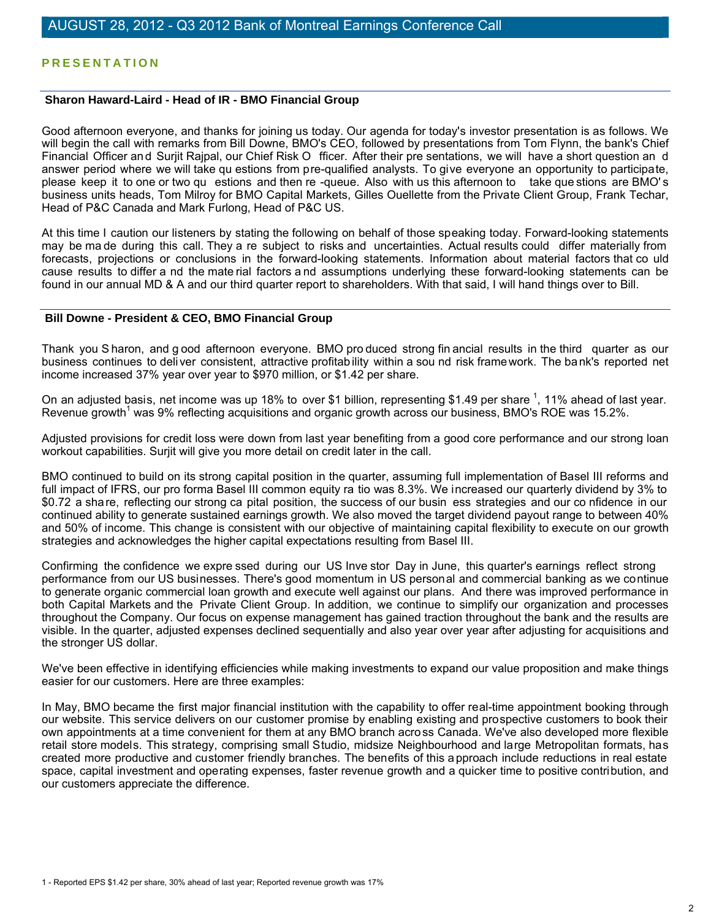## **PRESENTATION**

#### **Sharon Haward-Laird - Head of IR - BMO Financial Group**

Good afternoon everyone, and thanks for joining us today. Our agenda for today's investor presentation is as follows. We will begin the call with remarks from Bill Downe, BMO's CEO, followed by presentations from Tom Flynn, the bank's Chief Financial Officer and Surjit Rajpal, our Chief Risk O fficer. After their pre sentations, we will have a short question an d answer period where we will take qu estions from pre-qualified analysts. To give everyone an opportunity to participate, please keep it to one or two qu estions and then re -queue. Also with us this afternoon to take que stions are BMO' s business units heads, Tom Milroy for BMO Capital Markets, Gilles Ouellette from the Private Client Group, Frank Techar, Head of P&C Canada and Mark Furlong, Head of P&C US.

At this time I caution our listeners by stating the following on behalf of those speaking today. Forward-looking statements may be ma de during this call. They a re subject to risks and uncertainties. Actual results could differ materially from forecasts, projections or conclusions in the forward-looking statements. Information about material factors that co uld cause results to differ a nd the mate rial factors a nd assumptions underlying these forward-looking statements can be found in our annual MD & A and our third quarter report to shareholders. With that said, I will hand things over to Bill.

#### **Bill Downe - President & CEO, BMO Financial Group**

Thank you S haron, and g ood afternoon everyone. BMO pro duced strong fin ancial results in the third quarter as our business continues to deliver consistent, attractive profitab ility within a sou nd risk framework. The bank's reported net income increased 37% year over year to \$970 million, or \$1.42 per share.

On an adjusted basis, net income was up 18% to over \$1 billion, representing \$1.49 per share <sup>1</sup>, 11% ahead of last year. Revenue growth<sup>1</sup> was 9% reflecting acquisitions and organic growth across our business, BMO's ROE was 15.2%.

Adjusted provisions for credit loss were down from last year benefiting from a good core performance and our strong loan workout capabilities. Surjit will give you more detail on credit later in the call.

BMO continued to build on its strong capital position in the quarter, assuming full implementation of Basel III reforms and full impact of IFRS, our pro forma Basel III common equity ra tio was 8.3%. We increased our quarterly dividend by 3% to \$0.72 a share, reflecting our strong ca pital position, the success of our busin ess strategies and our co nfidence in our continued ability to generate sustained earnings growth. We also moved the target dividend payout range to between 40% and 50% of income. This change is consistent with our objective of maintaining capital flexibility to execute on our growth strategies and acknowledges the higher capital expectations resulting from Basel III.

Confirming the confidence we expre ssed during our US Inve stor Day in June, this quarter's earnings reflect strong performance from our US businesses. There's good momentum in US personal and commercial banking as we continue to generate organic commercial loan growth and execute well against our plans. And there was improved performance in both Capital Markets and the Private Client Group. In addition, we continue to simplify our organization and processes throughout the Company. Our focus on expense management has gained traction throughout the bank and the results are visible. In the quarter, adjusted expenses declined sequentially and also year over year after adjusting for acquisitions and the stronger US dollar.

We've been effective in identifying efficiencies while making investments to expand our value proposition and make things easier for our customers. Here are three examples:

In May, BMO became the first major financial institution with the capability to offer real-time appointment booking through our website. This service delivers on our customer promise by enabling existing and prospective customers to book their own appointments at a time convenient for them at any BMO branch across Canada. We've also developed more flexible retail store models. This strategy, comprising small Studio, midsize Neighbourhood and large Metropolitan formats, has created more productive and customer friendly branches. The benefits of this a pproach include reductions in real estate space, capital investment and operating expenses, faster revenue growth and a quicker time to positive contribution, and our customers appreciate the difference.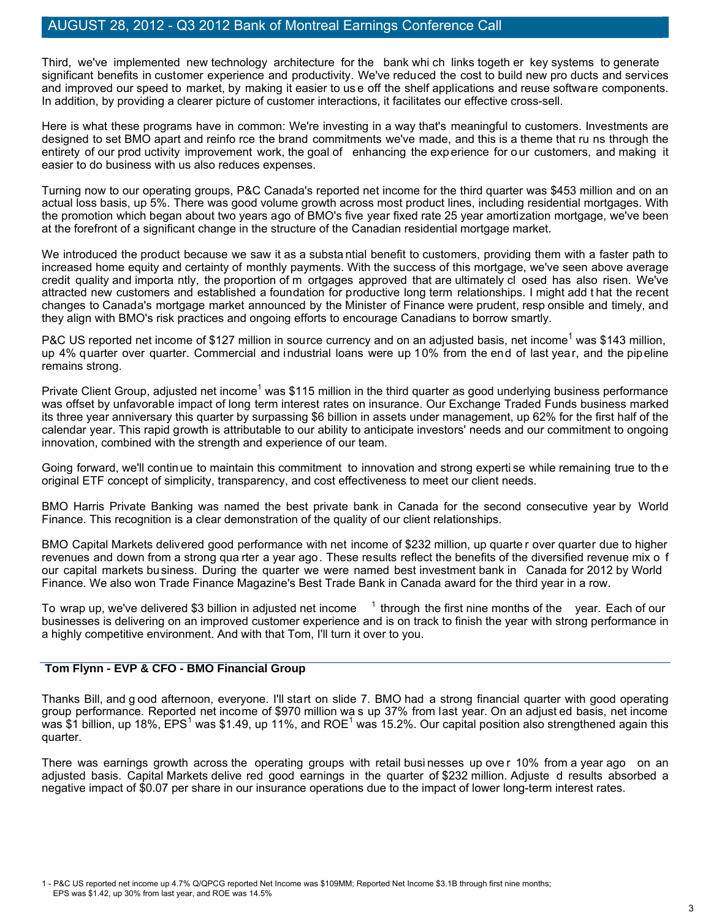Third, we've implemented new technology architecture for the bank whi ch links togeth er key systems to generate significant benefits in customer experience and productivity. We've reduced the cost to build new pro ducts and services and improved our speed to market, by making it easier to us e off the shelf applications and reuse software components. In addition, by providing a clearer picture of customer interactions, it facilitates our effective cross-sell.

Here is what these programs have in common: We're investing in a way that's meaningful to customers. Investments are designed to set BMO apart and reinfo rce the brand commitments we've made, and this is a theme that ru ns through the entirety of our prod uctivity improvement work, the goal of enhancing the experience for our customers, and making it easier to do business with us also reduces expenses.

Turning now to our operating groups, P&C Canada's reported net income for the third quarter was \$453 million and on an actual loss basis, up 5%. There was good volume growth across most product lines, including residential mortgages. With the promotion which began about two years ago of BMO's five year fixed rate 25 year amortization mortgage, we've been at the forefront of a significant change in the structure of the Canadian residential mortgage market.

We introduced the product because we saw it as a substa ntial benefit to customers, providing them with a faster path to increased home equity and certainty of monthly payments. With the success of this mortgage, we've seen above average credit quality and importa ntly, the proportion of m ortgages approved that are ultimately cl osed has also risen. We've attracted new customers and established a foundation for productive long term relationships. I might add t hat the recent changes to Canada's mortgage market announced by the Minister of Finance were prudent, resp onsible and timely, and they align with BMO's risk practices and ongoing efforts to encourage Canadians to borrow smartly.

P&C US reported net income of \$127 million in source currency and on an adjusted basis, net income<sup>1</sup> was \$143 million, up 4% quarter over quarter. Commercial and industrial loans were up 10% from the end of last year, and the pipeline remains strong.

Private Client Group, adjusted net income<sup>1</sup> was \$115 million in the third quarter as good underlying business performance was offset by unfavorable impact of long term interest rates on insurance. Our Exchange Traded Funds business marked its three year anniversary this quarter by surpassing \$6 billion in assets under management, up 62% for the first half of the calendar year. This rapid growth is attributable to our ability to anticipate investors' needs and our commitment to ongoing innovation, combined with the strength and experience of our team.

Going forward, we'll continue to maintain this commitment to innovation and strong experti se while remaining true to the original ETF concept of simplicity, transparency, and cost effectiveness to meet our client needs.

BMO Harris Private Banking was named the best private bank in Canada for the second consecutive year by World Finance. This recognition is a clear demonstration of the quality of our client relationships.

BMO Capital Markets delivered good performance with net income of \$232 million, up quarte r over quarter due to higher revenues and down from a strong qua rter a year ago. These results reflect the benefits of the diversified revenue mix o f our capital markets business. During the quarter we were named best investment bank in Canada for 2012 by World Finance. We also won Trade Finance Magazine's Best Trade Bank in Canada award for the third year in a row.

To wrap up, we've delivered \$3 billion in adjusted net income  $^{-1}$  through the first nine months of the year. Each of our businesses is delivering on an improved customer experience and is on track to finish the year with strong performance in a highly competitive environment. And with that Tom, I'll turn it over to you.

## **Tom Flynn - EVP & CFO - BMO Financial Group**

Thanks Bill, and g ood afternoon, everyone. I'll start on slide 7. BMO had a strong financial quarter with good operating group performance. Reported net income of \$970 million wa s up 37% from last year. On an adjust ed basis, net income was \$1 billion, up 18%, EPS<sup>1</sup> was \$1.49, up 11%, and ROE<sup>1</sup> was 15.2%. Our capital position also strengthened again this quarter.

There was earnings growth across the operating groups with retail busi nesses up ove r 10% from a year ago on an adjusted basis. Capital Markets delive red good earnings in the quarter of \$232 million. Adjuste d results absorbed a negative impact of \$0.07 per share in our insurance operations due to the impact of lower long-term interest rates.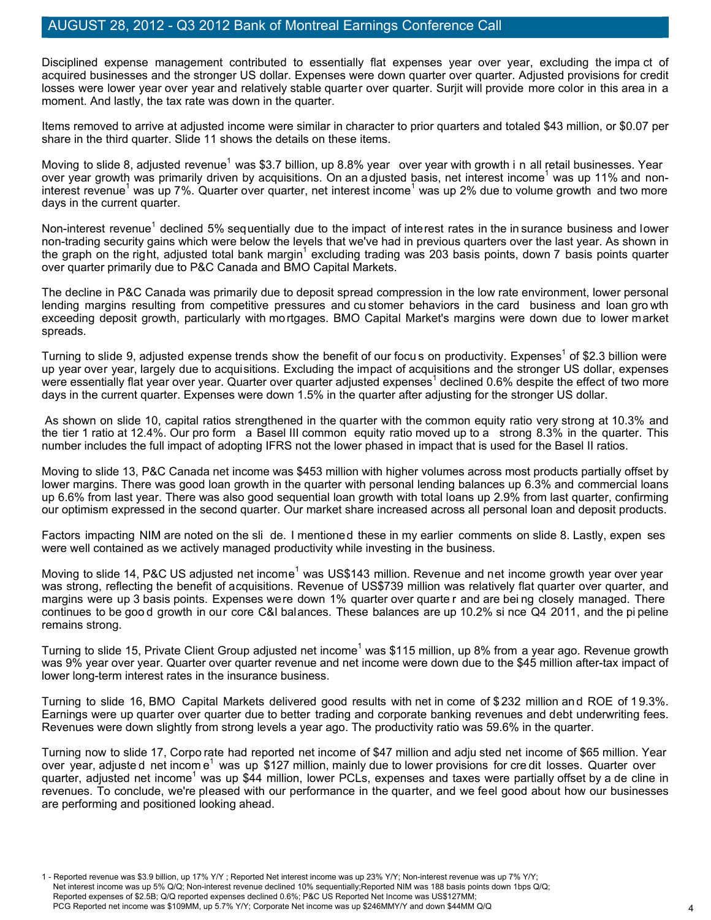Disciplined expense management contributed to essentially flat expenses year over year, excluding the impa ct of acquired businesses and the stronger US dollar. Expenses were down quarter over quarter. Adjusted provisions for credit losses were lower year over year and relatively stable quarter over quarter. Surjit will provide more color in this area in a moment. And lastly, the tax rate was down in the quarter.

Items removed to arrive at adjusted income were similar in character to prior quarters and totaled \$43 million, or \$0.07 per share in the third quarter. Slide 11 shows the details on these items.

Moving to slide 8, adjusted revenue<sup>1</sup> was \$3.7 billion, up 8.8% year over year with growth i n all retail businesses. Year over year growth was primarily driven by acquisitions. On an a djusted basis, net interest income<sup>1</sup> was up 11% and noninterest revenue<sup>1</sup> was up 7%. Quarter over quarter, net interest income<sup>1</sup> was up 2% due to volume growth and two more days in the current quarter.

Non-interest revenue<sup>1</sup> declined 5% sequentially due to the impact of interest rates in the in surance business and lower non-trading security gains which were below the levels that we've had in previous quarters over the last year. As shown in the graph on the right, adjusted total bank margin<sup>1</sup> excluding trading was 203 basis points, down 7 basis points quarter over quarter primarily due to P&C Canada and BMO Capital Markets.

The decline in P&C Canada was primarily due to deposit spread compression in the low rate environment, lower personal lending margins resulting from competitive pressures and cu stomer behaviors in the card business and loan gro wth exceeding deposit growth, particularly with mortgages. BMO Capital Market's margins were down due to lower market spreads.

Turning to slide 9, adjusted expense trends show the benefit of our focus on productivity. Expenses<sup>1</sup> of \$2.3 billion were up year over year, largely due to acquisitions. Excluding the impact of acquisitions and the stronger US dollar, expenses were essentially flat year over year. Quarter over quarter adjusted expenses<sup>1</sup> declined 0.6% despite the effect of two more days in the current quarter. Expenses were down 1.5% in the quarter after adjusting for the stronger US dollar.

 As shown on slide 10, capital ratios strengthened in the quarter with the common equity ratio very strong at 10.3% and the tier 1 ratio at 12.4%. Our pro form a Basel III common equity ratio moved up to a strong 8.3% in the quarter. This number includes the full impact of adopting IFRS not the lower phased in impact that is used for the Basel II ratios.

Moving to slide 13, P&C Canada net income was \$453 million with higher volumes across most products partially offset by lower margins. There was good loan growth in the quarter with personal lending balances up 6.3% and commercial loans up 6.6% from last year. There was also good sequential loan growth with total loans up 2.9% from last quarter, confirming our optimism expressed in the second quarter. Our market share increased across all personal loan and deposit products.

Factors impacting NIM are noted on the sli de. I mentioned these in my earlier comments on slide 8. Lastly, expen ses were well contained as we actively managed productivity while investing in the business.

Moving to slide 14, P&C US adjusted net income<sup>1</sup> was US\$143 million. Revenue and net income growth year over year was strong, reflecting the benefit of acquisitions. Revenue of US\$739 million was relatively flat quarter over quarter, and margins were up 3 basis points. Expenses were down 1% quarter over quarte r and are bei ng closely managed. There continues to be goo d growth in our core C&I balances. These balances are up 10.2% si nce Q4 2011, and the pi peline remains strong.

Turning to slide 15, Private Client Group adjusted net income<sup>1</sup> was \$115 million, up 8% from a year ago. Revenue growth was 9% year over year. Quarter over quarter revenue and net income were down due to the \$45 million after-tax impact of lower long-term interest rates in the insurance business.

Turning to slide 16, BMO Capital Markets delivered good results with net in come of \$232 million and ROE of 19.3%. Earnings were up quarter over quarter due to better trading and corporate banking revenues and debt underwriting fees. Revenues were down slightly from strong levels a year ago. The productivity ratio was 59.6% in the quarter.

Turning now to slide 17, Corpo rate had reported net income of \$47 million and adju sted net income of \$65 million. Year over year, adjuste d net incom e<sup>1</sup> was up \$127 million, mainly due to lower provisions for cre dit losses. Quarter over quarter, adjusted net income<sup>1</sup> was up \$44 million, lower PCLs, expenses and taxes were partially offset by a de cline in revenues. To conclude, we're pleased with our performance in the quarter, and we feel good about how our businesses are performing and positioned looking ahead.

<sup>1 -</sup> Reported revenue was \$3.9 billion, up 17% Y/Y ; Reported Net interest income was up 23% Y/Y; Non-interest revenue was up 7% Y/Y; Net interest income was up 5% Q/Q; Non-interest revenue declined 10% sequentially;Reported NIM was 188 basis points down 1bps Q/Q; Reported expenses of \$2.5B; Q/Q reported expenses declined 0.6%; P&C US Reported Net Income was US\$127MM; PCG Reported net income was \$109MM, up 5.7% Y/Y; Corporate Net income was up \$246MMY/Y and down \$44MM Q/Q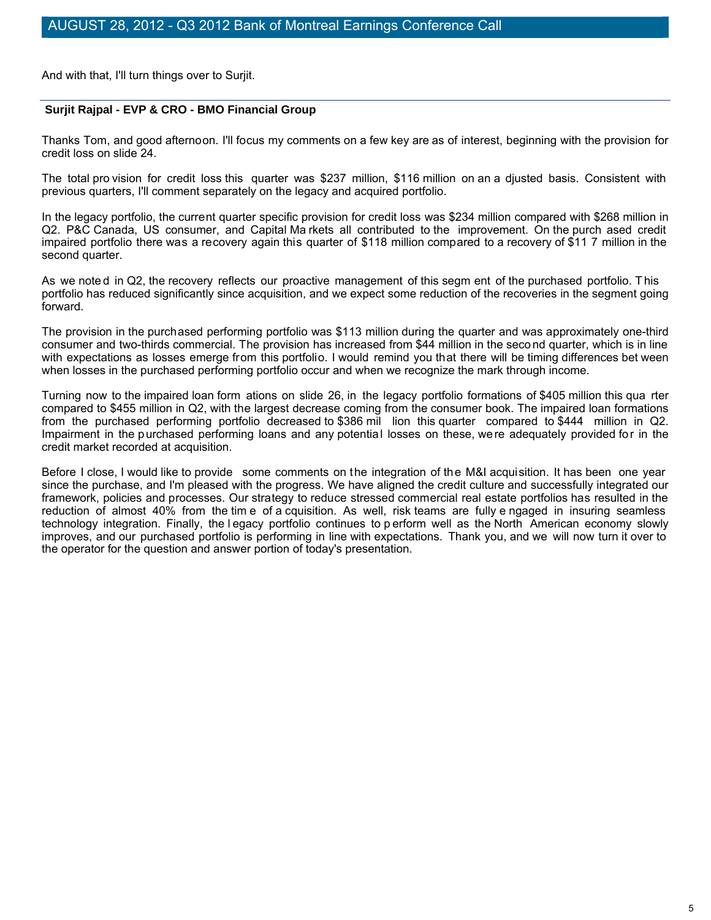And with that, I'll turn things over to Surjit.

### **Surjit Rajpal - EVP & CRO - BMO Financial Group**

Thanks Tom, and good afternoon. I'll focus my comments on a few key are as of interest, beginning with the provision for credit loss on slide 24.

The total pro vision for credit loss this quarter was \$237 million, \$116 million on an a djusted basis. Consistent with previous quarters, I'll comment separately on the legacy and acquired portfolio.

In the legacy portfolio, the current quarter specific provision for credit loss was \$234 million compared with \$268 million in Q2. P&C Canada, US consumer, and Capital Ma rkets all contributed to the improvement. On the purch ased credit impaired portfolio there was a recovery again this quarter of \$118 million compared to a recovery of \$11 7 million in the second quarter.

As we note d in Q2, the recovery reflects our proactive management of this segm ent of the purchased portfolio. T his portfolio has reduced significantly since acquisition, and we expect some reduction of the recoveries in the segment going forward.

The provision in the purchased performing portfolio was \$113 million during the quarter and was approximately one-third consumer and two-thirds commercial. The provision has increased from \$44 million in the second quarter, which is in line with expectations as losses emerge from this portfolio. I would remind you that there will be timing differences bet ween when losses in the purchased performing portfolio occur and when we recognize the mark through income.

Turning now to the impaired loan form ations on slide 26, in the legacy portfolio formations of \$405 million this qua rter compared to \$455 million in Q2, with the largest decrease coming from the consumer book. The impaired loan formations from the purchased performing portfolio decreased to \$386 mil lion this quarter compared to \$444 million in Q2. Impairment in the purchased performing loans and any potential losses on these, were adequately provided for in the credit market recorded at acquisition.

Before I close, I would like to provide some comments on the integration of the M&I acquisition. It has been one year since the purchase, and I'm pleased with the progress. We have aligned the credit culture and successfully integrated our framework, policies and processes. Our strategy to reduce stressed commercial real estate portfolios has resulted in the reduction of almost 40% from the tim e of a cquisition. As well, risk teams are fully e ngaged in insuring seamless technology integration. Finally, the l egacy portfolio continues to p erform well as the North American economy slowly improves, and our purchased portfolio is performing in line with expectations. Thank you, and we will now turn it over to the operator for the question and answer portion of today's presentation.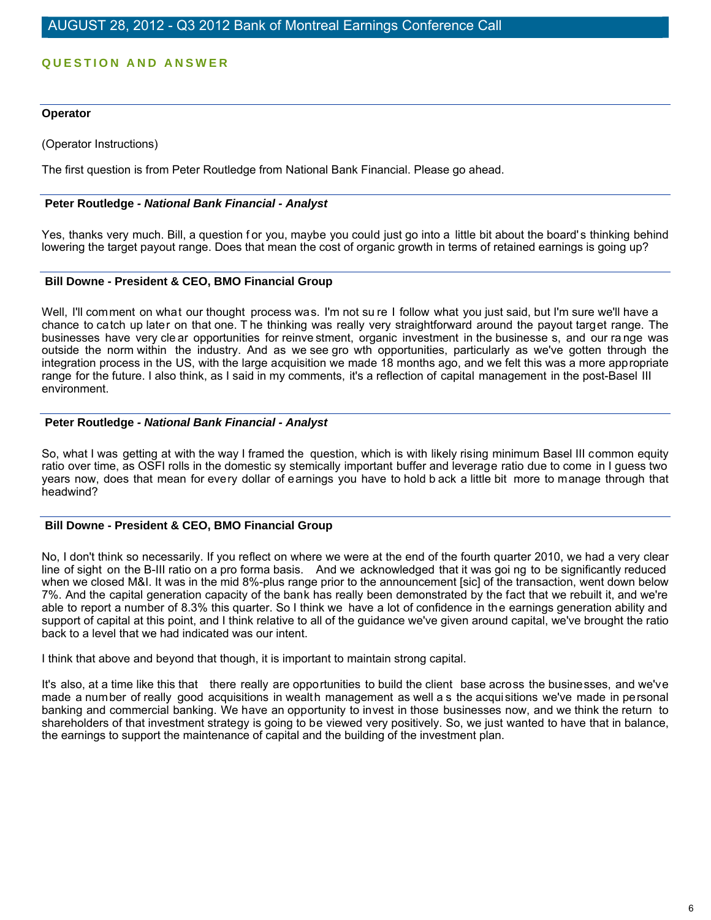## **QUESTION AND ANSWER**

#### **Operator**

(Operator Instructions)

The first question is from Peter Routledge from National Bank Financial. Please go ahead.

## **Peter Routledge** *- National Bank Financial - Analyst*

Yes, thanks very much. Bill, a question for you, maybe you could just go into a little bit about the board's thinking behind lowering the target payout range. Does that mean the cost of organic growth in terms of retained earnings is going up?

#### **Bill Downe - President & CEO, BMO Financial Group**

Well, I'll comment on what our thought process was. I'm not su re I follow what you just said, but I'm sure we'll have a chance to catch up later on that one. T he thinking was really very straightforward around the payout target range. The businesses have very cle ar opportunities for reinve stment, organic investment in the businesse s, and our ra nge was outside the norm within the industry. And as we see gro wth opportunities, particularly as we've gotten through the integration process in the US, with the large acquisition we made 18 months ago, and we felt this was a more appropriate range for the future. I also think, as I said in my comments, it's a reflection of capital management in the post-Basel III environment.

#### **Peter Routledge** *- National Bank Financial - Analyst*

So, what I was getting at with the way I framed the question, which is with likely rising minimum Basel III common equity ratio over time, as OSFI rolls in the domestic sy stemically important buffer and leverage ratio due to come in I guess two years now, does that mean for every dollar of earnings you have to hold b ack a little bit more to manage through that headwind?

## **Bill Downe - President & CEO, BMO Financial Group**

No, I don't think so necessarily. If you reflect on where we were at the end of the fourth quarter 2010, we had a very clear line of sight on the B-III ratio on a pro forma basis. And we acknowledged that it was goi ng to be significantly reduced when we closed M&I. It was in the mid 8%-plus range prior to the announcement [sic] of the transaction, went down below 7%. And the capital generation capacity of the bank has really been demonstrated by the fact that we rebuilt it, and we're able to report a number of 8.3% this quarter. So I think we have a lot of confidence in the earnings generation ability and support of capital at this point, and I think relative to all of the guidance we've given around capital, we've brought the ratio back to a level that we had indicated was our intent.

I think that above and beyond that though, it is important to maintain strong capital.

It's also, at a time like this that there really are opportunities to build the client base across the businesses, and we've made a number of really good acquisitions in wealth management as well a s the acquisitions we've made in personal banking and commercial banking. We have an opportunity to invest in those businesses now, and we think the return to shareholders of that investment strategy is going to be viewed very positively. So, we just wanted to have that in balance, the earnings to support the maintenance of capital and the building of the investment plan.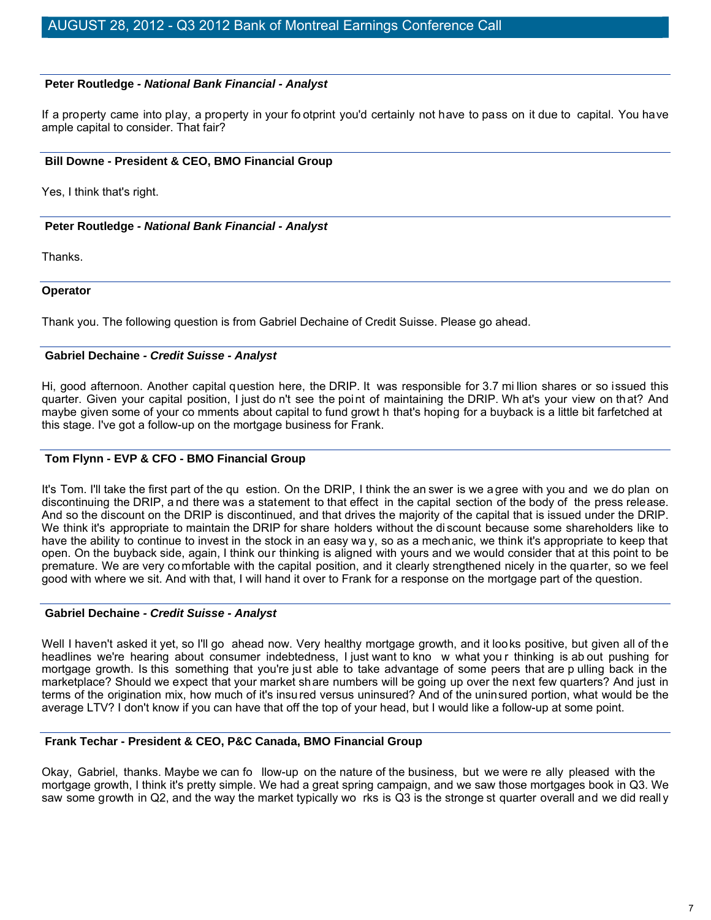## **Peter Routledge** *- National Bank Financial - Analyst*

If a property came into play, a property in your fo otprint you'd certainly not have to pass on it due to capital. You have ample capital to consider. That fair?

## **Bill Downe - President & CEO, BMO Financial Group**

Yes, I think that's right.

## **Peter Routledge** *- National Bank Financial - Analyst*

Thanks.

## **Operator**

Thank you. The following question is from Gabriel Dechaine of Credit Suisse. Please go ahead.

## **Gabriel Dechaine** *- Credit Suisse - Analyst*

Hi, good afternoon. Another capital question here, the DRIP. It was responsible for 3.7 mi llion shares or so issued this quarter. Given your capital position, I just do n't see the point of maintaining the DRIP. Wh at's your view on that? And maybe given some of your co mments about capital to fund growt h that's hoping for a buyback is a little bit farfetched at this stage. I've got a follow-up on the mortgage business for Frank.

## **Tom Flynn - EVP & CFO - BMO Financial Group**

It's Tom. I'll take the first part of the qu estion. On the DRIP, I think the an swer is we a gree with you and we do plan on discontinuing the DRIP, a nd there was a statement to that effect in the capital section of the body of the press release. And so the discount on the DRIP is discontinued, and that drives the majority of the capital that is issued under the DRIP. We think it's appropriate to maintain the DRIP for share holders without the di scount because some shareholders like to have the ability to continue to invest in the stock in an easy wa y, so as a mechanic, we think it's appropriate to keep that open. On the buyback side, again, I think our thinking is aligned with yours and we would consider that at this point to be premature. We are very co mfortable with the capital position, and it clearly strengthened nicely in the quarter, so we feel good with where we sit. And with that, I will hand it over to Frank for a response on the mortgage part of the question.

## **Gabriel Dechaine** *- Credit Suisse - Analyst*

Well I haven't asked it yet, so I'll go ahead now. Very healthy mortgage growth, and it looks positive, but given all of the headlines we're hearing about consumer indebtedness, I just want to kno w what you r thinking is ab out pushing for mortgage growth. Is this something that you're just able to take advantage of some peers that are p ulling back in the marketplace? Should we expect that your market share numbers will be going up over the next few quarters? And just in terms of the origination mix, how much of it's insu red versus uninsured? And of the uninsured portion, what would be the average LTV? I don't know if you can have that off the top of your head, but I would like a follow-up at some point.

## **Frank Techar - President & CEO, P&C Canada, BMO Financial Group**

Okay, Gabriel, thanks. Maybe we can fo llow-up on the nature of the business, but we were re ally pleased with the mortgage growth, I think it's pretty simple. We had a great spring campaign, and we saw those mortgages book in Q3. We saw some growth in Q2, and the way the market typically wo rks is Q3 is the stronge st quarter overall and we did reall y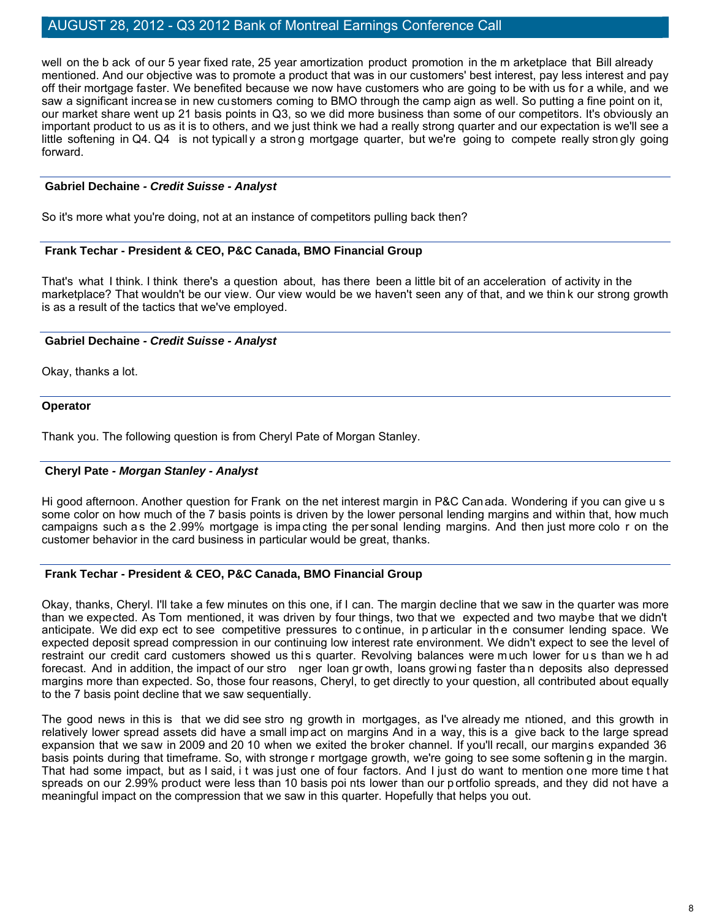well on the b ack of our 5 year fixed rate, 25 year amortization product promotion in the m arketplace that Bill already mentioned. And our objective was to promote a product that was in our customers' best interest, pay less interest and pay off their mortgage faster. We benefited because we now have customers who are going to be with us for a while, and we saw a significant increase in new customers coming to BMO through the camp aign as well. So putting a fine point on it, our market share went up 21 basis points in Q3, so we did more business than some of our competitors. It's obviously an important product to us as it is to others, and we just think we had a really strong quarter and our expectation is we'll see a little softening in Q4. Q4 is not typicall y a stron g mortgage quarter, but we're going to compete really stron gly going forward.

## **Gabriel Dechaine** *- Credit Suisse - Analyst*

So it's more what you're doing, not at an instance of competitors pulling back then?

#### **Frank Techar - President & CEO, P&C Canada, BMO Financial Group**

That's what I think. I think there's a question about, has there been a little bit of an acceleration of activity in the marketplace? That wouldn't be our view. Our view would be we haven't seen any of that, and we thin k our strong growth is as a result of the tactics that we've employed.

#### **Gabriel Dechaine** *- Credit Suisse - Analyst*

Okay, thanks a lot.

#### **Operator**

Thank you. The following question is from Cheryl Pate of Morgan Stanley.

## **Cheryl Pate** *- Morgan Stanley - Analyst*

Hi good afternoon. Another question for Frank on the net interest margin in P&C Canada. Wondering if you can give u s some color on how much of the 7 basis points is driven by the lower personal lending margins and within that, how much campaigns such a s the 2 .99% mortgage is impa cting the per sonal lending margins. And then just more colo r on the customer behavior in the card business in particular would be great, thanks.

## **Frank Techar - President & CEO, P&C Canada, BMO Financial Group**

Okay, thanks, Cheryl. I'll take a few minutes on this one, if I can. The margin decline that we saw in the quarter was more than we expected. As Tom mentioned, it was driven by four things, two that we expected and two maybe that we didn't anticipate. We did exp ect to see competitive pressures to continue, in particular in the consumer lending space. We expected deposit spread compression in our continuing low interest rate environment. We didn't expect to see the level of restraint our credit card customers showed us this quarter. Revolving balances were much lower for us than we h ad forecast. And in addition, the impact of our stro nger loan gr owth, loans growi ng faster tha n deposits also depressed margins more than expected. So, those four reasons, Cheryl, to get directly to your question, all contributed about equally to the 7 basis point decline that we saw sequentially.

The good news in this is that we did see stro ng growth in mortgages, as I've already me ntioned, and this growth in relatively lower spread assets did have a small imp act on margins And in a way, this is a give back to the large spread expansion that we saw in 2009 and 20 10 when we exited the broker channel. If you'll recall, our margins expanded 36 basis points during that timeframe. So, with stronge r mortgage growth, we're going to see some softenin g in the margin. That had some impact, but as I said, i t was just one of four factors. And I just do want to mention one more time t hat spreads on our 2.99% product were less than 10 basis poi nts lower than our p ortfolio spreads, and they did not have a meaningful impact on the compression that we saw in this quarter. Hopefully that helps you out.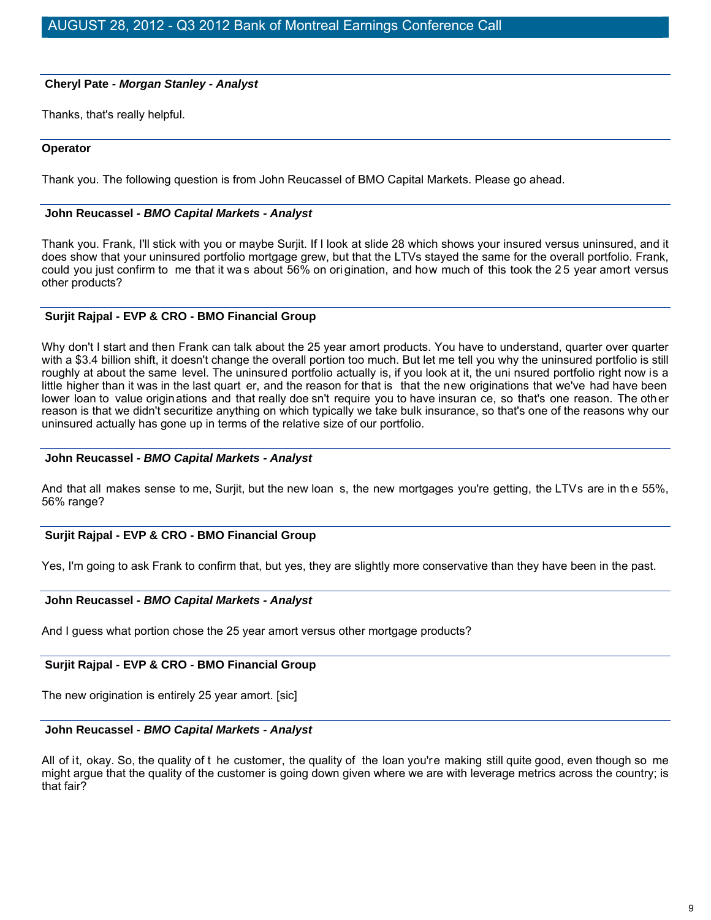## **Cheryl Pate** *- Morgan Stanley - Analyst*

Thanks, that's really helpful.

## **Operator**

Thank you. The following question is from John Reucassel of BMO Capital Markets. Please go ahead.

## **John Reucassel** *- BMO Capital Markets - Analyst*

Thank you. Frank, I'll stick with you or maybe Surjit. If I look at slide 28 which shows your insured versus uninsured, and it does show that your uninsured portfolio mortgage grew, but that the LTVs stayed the same for the overall portfolio. Frank, could you just confirm to me that it wa s about 56% on ori gination, and how much of this took the 2 5 year amort versus other products?

## **Surjit Rajpal - EVP & CRO - BMO Financial Group**

Why don't I start and then Frank can talk about the 25 year amort products. You have to understand, quarter over quarter with a \$3.4 billion shift, it doesn't change the overall portion too much. But let me tell you why the uninsured portfolio is still roughly at about the same level. The uninsured portfolio actually is, if you look at it, the uni nsured portfolio right now is a little higher than it was in the last quart er, and the reason for that is that the new originations that we've had have been lower loan to value originations and that really doe sn't require you to have insuran ce, so that's one reason. The other reason is that we didn't securitize anything on which typically we take bulk insurance, so that's one of the reasons why our uninsured actually has gone up in terms of the relative size of our portfolio.

## **John Reucassel** *- BMO Capital Markets - Analyst*

And that all makes sense to me, Surjit, but the new loan s, the new mortgages you're getting, the LTVs are in th e 55%, 56% range?

## **Surjit Rajpal - EVP & CRO - BMO Financial Group**

Yes, I'm going to ask Frank to confirm that, but yes, they are slightly more conservative than they have been in the past.

## **John Reucassel** *- BMO Capital Markets - Analyst*

And I guess what portion chose the 25 year amort versus other mortgage products?

## **Surjit Rajpal - EVP & CRO - BMO Financial Group**

The new origination is entirely 25 year amort. [sic]

## **John Reucassel** *- BMO Capital Markets - Analyst*

All of it, okay. So, the quality of t he customer, the quality of the loan you're making still quite good, even though so me might argue that the quality of the customer is going down given where we are with leverage metrics across the country; is that fair?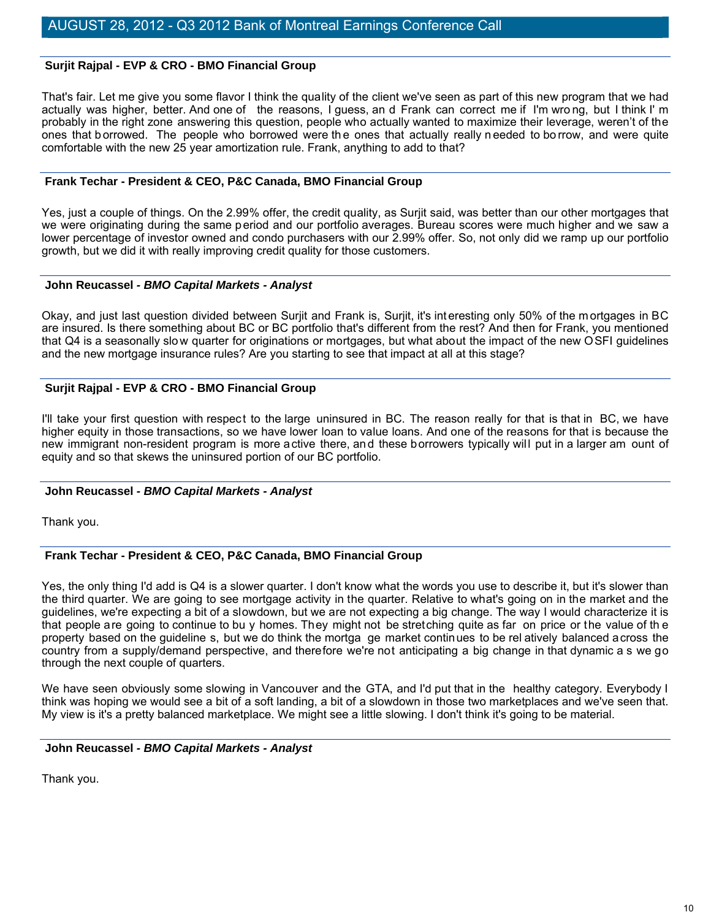## **Surjit Rajpal - EVP & CRO - BMO Financial Group**

That's fair. Let me give you some flavor I think the quality of the client we've seen as part of this new program that we had actually was higher, better. And one of the reasons, I guess, an d Frank can correct me if I'm wro ng, but I think I' m probably in the right zone answering this question, people who actually wanted to maximize their leverage, weren't of the ones that b orrowed. The people who borrowed were th e ones that actually really n eeded to bo rrow, and were quite comfortable with the new 25 year amortization rule. Frank, anything to add to that?

## **Frank Techar - President & CEO, P&C Canada, BMO Financial Group**

Yes, just a couple of things. On the 2.99% offer, the credit quality, as Surjit said, was better than our other mortgages that we were originating during the same period and our portfolio averages. Bureau scores were much higher and we saw a lower percentage of investor owned and condo purchasers with our 2.99% offer. So, not only did we ramp up our portfolio growth, but we did it with really improving credit quality for those customers.

#### **John Reucassel** *- BMO Capital Markets - Analyst*

Okay, and just last question divided between Surjit and Frank is, Surjit, it's int eresting only 50% of the m ortgages in BC are insured. Is there something about BC or BC portfolio that's different from the rest? And then for Frank, you mentioned that Q4 is a seasonally slo w quarter for originations or mortgages, but what about the impact of the new OSFI guidelines and the new mortgage insurance rules? Are you starting to see that impact at all at this stage?

## **Surjit Rajpal - EVP & CRO - BMO Financial Group**

I'll take your first question with respect to the large uninsured in BC. The reason really for that is that in BC, we have higher equity in those transactions, so we have lower loan to value loans. And one of the reasons for that is because the new immigrant non-resident program is more active there, and these borrowers typically will put in a larger am ount of equity and so that skews the uninsured portion of our BC portfolio.

## **John Reucassel** *- BMO Capital Markets - Analyst*

Thank you.

## **Frank Techar - President & CEO, P&C Canada, BMO Financial Group**

Yes, the only thing I'd add is Q4 is a slower quarter. I don't know what the words you use to describe it, but it's slower than the third quarter. We are going to see mortgage activity in the quarter. Relative to what's going on in the market and the guidelines, we're expecting a bit of a slowdown, but we are not expecting a big change. The way I would characterize it is that people are going to continue to bu y homes. They might not be stretching quite as far on price or the value of th e property based on the guideline s, but we do think the mortga ge market continues to be rel atively balanced across the country from a supply/demand perspective, and therefore we're not anticipating a big change in that dynamic a s we go through the next couple of quarters.

We have seen obviously some slowing in Vancouver and the GTA, and I'd put that in the healthy category. Everybody I think was hoping we would see a bit of a soft landing, a bit of a slowdown in those two marketplaces and we've seen that. My view is it's a pretty balanced marketplace. We might see a little slowing. I don't think it's going to be material.

#### **John Reucassel** *- BMO Capital Markets - Analyst*

Thank you.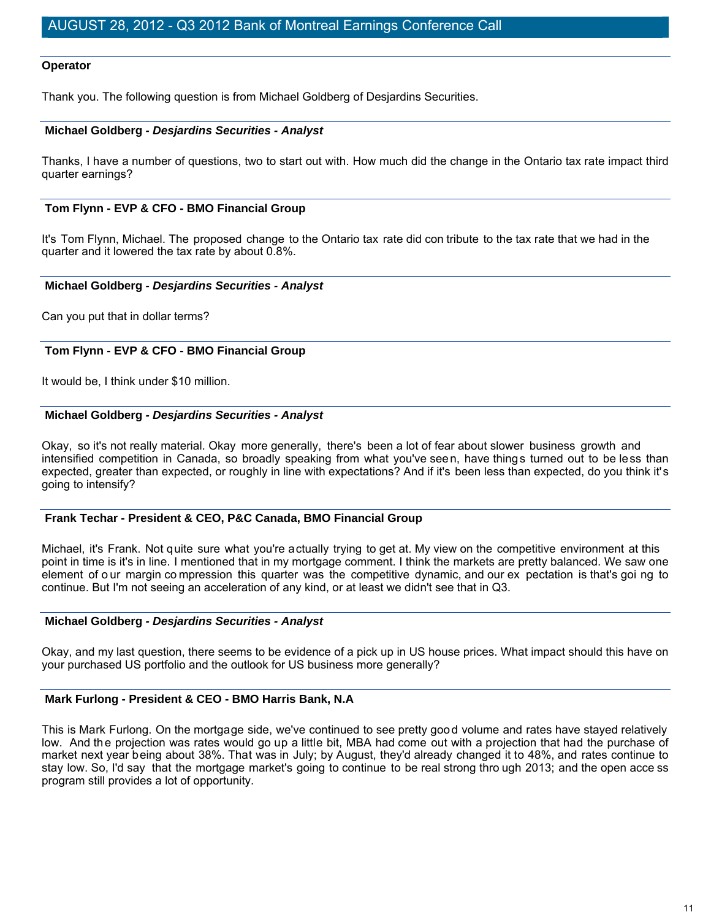## **Operator**

Thank you. The following question is from Michael Goldberg of Desjardins Securities.

### **Michael Goldberg** *- Desjardins Securities - Analyst*

Thanks, I have a number of questions, two to start out with. How much did the change in the Ontario tax rate impact third quarter earnings?

### **Tom Flynn - EVP & CFO - BMO Financial Group**

It's Tom Flynn, Michael. The proposed change to the Ontario tax rate did con tribute to the tax rate that we had in the quarter and it lowered the tax rate by about 0.8%.

#### **Michael Goldberg** *- Desjardins Securities - Analyst*

Can you put that in dollar terms?

## **Tom Flynn - EVP & CFO - BMO Financial Group**

It would be, I think under \$10 million.

#### **Michael Goldberg** *- Desjardins Securities - Analyst*

Okay, so it's not really material. Okay more generally, there's been a lot of fear about slower business growth and intensified competition in Canada, so broadly speaking from what you've seen, have things turned out to be less than expected, greater than expected, or roughly in line with expectations? And if it's been less than expected, do you think it's going to intensify?

#### **Frank Techar - President & CEO, P&C Canada, BMO Financial Group**

Michael, it's Frank. Not quite sure what you're actually trying to get at. My view on the competitive environment at this point in time is it's in line. I mentioned that in my mortgage comment. I think the markets are pretty balanced. We saw one element of o ur margin co mpression this quarter was the competitive dynamic, and our ex pectation is that's goi ng to continue. But I'm not seeing an acceleration of any kind, or at least we didn't see that in Q3.

## **Michael Goldberg** *- Desjardins Securities - Analyst*

Okay, and my last question, there seems to be evidence of a pick up in US house prices. What impact should this have on your purchased US portfolio and the outlook for US business more generally?

## **Mark Furlong - President & CEO - BMO Harris Bank, N.A**

This is Mark Furlong. On the mortgage side, we've continued to see pretty good volume and rates have stayed relatively low. And the projection was rates would go up a little bit, MBA had come out with a projection that had the purchase of market next year being about 38%. That was in July; by August, they'd already changed it to 48%, and rates continue to stay low. So, I'd say that the mortgage market's going to continue to be real strong thro ugh 2013; and the open acce ss program still provides a lot of opportunity.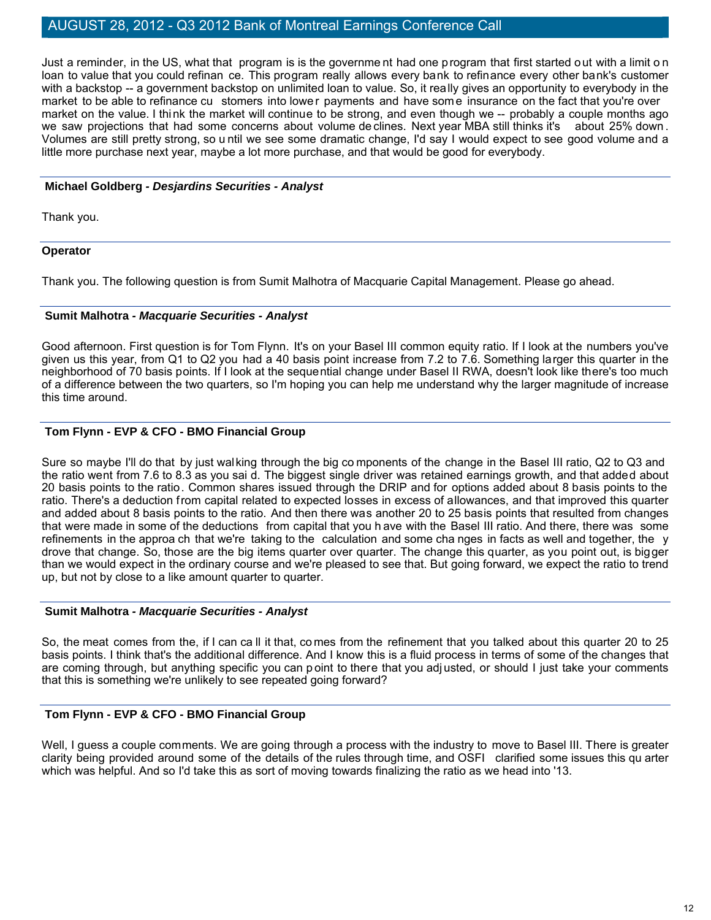Just a reminder, in the US, what that program is is the governme nt had one program that first started out with a limit o n loan to value that you could refinan ce. This program really allows every bank to refinance every other bank's customer with a backstop -- a government backstop on unlimited loan to value. So, it really gives an opportunity to everybody in the market to be able to refinance cu stomers into lower payments and have some insurance on the fact that you're over market on the value. I think the market will continue to be strong, and even though we -- probably a couple months ago we saw projections that had some concerns about volume de clines. Next year MBA still thinks it's about 25% down. Volumes are still pretty strong, so u ntil we see some dramatic change, I'd say I would expect to see good volume and a little more purchase next year, maybe a lot more purchase, and that would be good for everybody.

## **Michael Goldberg** *- Desjardins Securities - Analyst*

Thank you.

## **Operator**

Thank you. The following question is from Sumit Malhotra of Macquarie Capital Management. Please go ahead.

## **Sumit Malhotra** *- Macquarie Securities - Analyst*

Good afternoon. First question is for Tom Flynn. It's on your Basel III common equity ratio. If I look at the numbers you've given us this year, from Q1 to Q2 you had a 40 basis point increase from 7.2 to 7.6. Something larger this quarter in the neighborhood of 70 basis points. If I look at the sequential change under Basel II RWA, doesn't look like there's too much of a difference between the two quarters, so I'm hoping you can help me understand why the larger magnitude of increase this time around.

## **Tom Flynn - EVP & CFO - BMO Financial Group**

Sure so maybe I'll do that by just walking through the big co mponents of the change in the Basel III ratio, Q2 to Q3 and the ratio went from 7.6 to 8.3 as you sai d. The biggest single driver was retained earnings growth, and that added about 20 basis points to the ratio. Common shares issued through the DRIP and for options added about 8 basis points to the ratio. There's a deduction from capital related to expected losses in excess of allowances, and that improved this quarter and added about 8 basis points to the ratio. And then there was another 20 to 25 basis points that resulted from changes that were made in some of the deductions from capital that you h ave with the Basel III ratio. And there, there was some refinements in the approa ch that we're taking to the calculation and some cha nges in facts as well and together, the y drove that change. So, those are the big items quarter over quarter. The change this quarter, as you point out, is bigger than we would expect in the ordinary course and we're pleased to see that. But going forward, we expect the ratio to trend up, but not by close to a like amount quarter to quarter.

## **Sumit Malhotra** *- Macquarie Securities - Analyst*

So, the meat comes from the, if I can ca ll it that, co mes from the refinement that you talked about this quarter 20 to 25 basis points. I think that's the additional difference. And I know this is a fluid process in terms of some of the changes that are coming through, but anything specific you can p oint to there that you adj usted, or should I just take your comments that this is something we're unlikely to see repeated going forward?

## **Tom Flynn - EVP & CFO - BMO Financial Group**

Well, I guess a couple comments. We are going through a process with the industry to move to Basel III. There is greater clarity being provided around some of the details of the rules through time, and OSFI clarified some issues this qu arter which was helpful. And so I'd take this as sort of moving towards finalizing the ratio as we head into '13.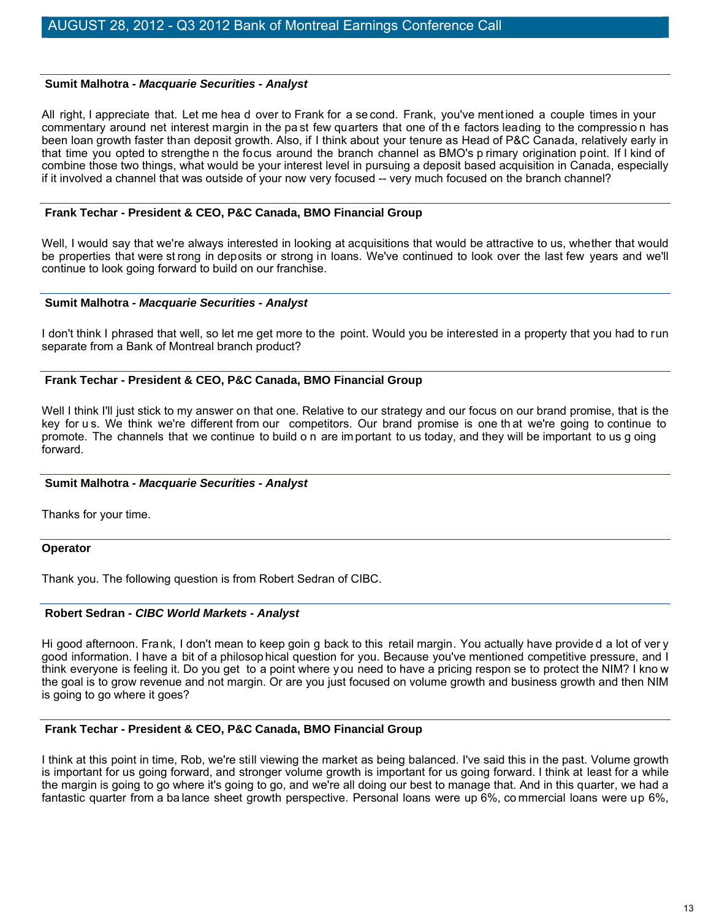### **Sumit Malhotra** *- Macquarie Securities - Analyst*

All right, I appreciate that. Let me hea d over to Frank for a se cond. Frank, you've ment ioned a couple times in your commentary around net interest margin in the pa st few quarters that one of th e factors leading to the compressio n has been loan growth faster than deposit growth. Also, if I think about your tenure as Head of P&C Canada, relatively early in that time you opted to strengthe n the focus around the branch channel as BMO's p rimary origination point. If I kind of combine those two things, what would be your interest level in pursuing a deposit based acquisition in Canada, especially if it involved a channel that was outside of your now very focused -- very much focused on the branch channel?

### **Frank Techar - President & CEO, P&C Canada, BMO Financial Group**

Well, I would say that we're always interested in looking at acquisitions that would be attractive to us, whether that would be properties that were st rong in deposits or strong in loans. We've continued to look over the last few years and we'll continue to look going forward to build on our franchise.

#### **Sumit Malhotra** *- Macquarie Securities - Analyst*

I don't think I phrased that well, so let me get more to the point. Would you be interested in a property that you had to run separate from a Bank of Montreal branch product?

## **Frank Techar - President & CEO, P&C Canada, BMO Financial Group**

Well I think I'll just stick to my answer on that one. Relative to our strategy and our focus on our brand promise, that is the key for u s. We think we're different from our competitors. Our brand promise is one that we're going to continue to promote. The channels that we continue to build o n are im portant to us today, and they will be important to us g oing forward.

## **Sumit Malhotra** *- Macquarie Securities - Analyst*

Thanks for your time.

#### **Operator**

Thank you. The following question is from Robert Sedran of CIBC.

## **Robert Sedran** *- CIBC World Markets - Analyst*

Hi good afternoon. Frank, I don't mean to keep goin g back to this retail margin. You actually have provide d a lot of ver y good information. I have a bit of a philosophical question for you. Because you've mentioned competitive pressure, and I think everyone is feeling it. Do you get to a point where y ou need to have a pricing respon se to protect the NIM? I kno w the goal is to grow revenue and not margin. Or are you just focused on volume growth and business growth and then NIM is going to go where it goes?

## **Frank Techar - President & CEO, P&C Canada, BMO Financial Group**

I think at this point in time, Rob, we're still viewing the market as being balanced. I've said this in the past. Volume growth is important for us going forward, and stronger volume growth is important for us going forward. I think at least for a while the margin is going to go where it's going to go, and we're all doing our best to manage that. And in this quarter, we had a fantastic quarter from a ba lance sheet growth perspective. Personal loans were up 6%, co mmercial loans were up 6%,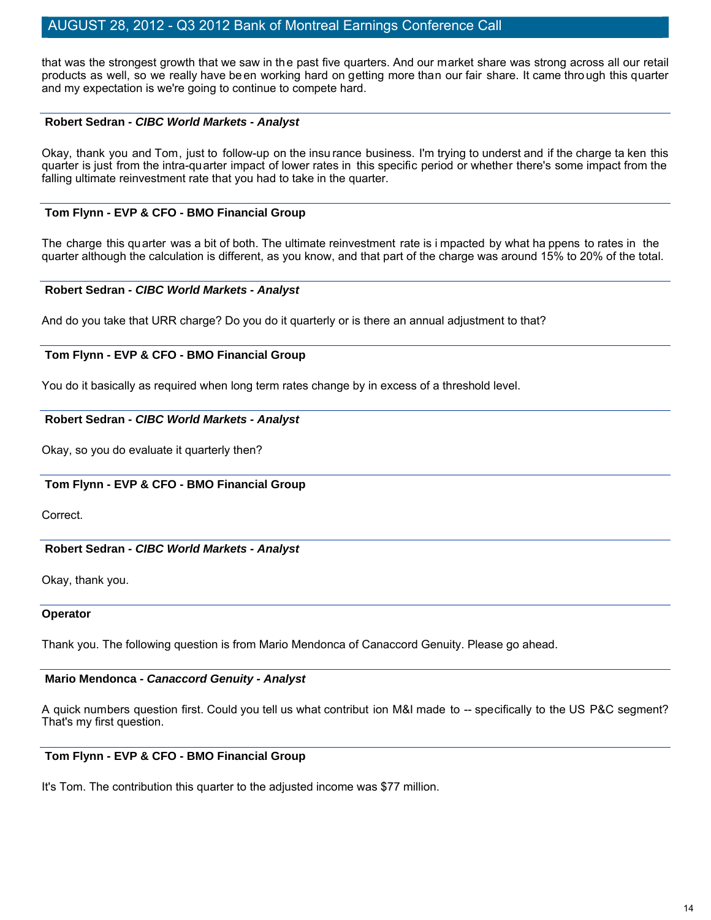that was the strongest growth that we saw in the past five quarters. And our market share was strong across all our retail products as well, so we really have be en working hard on getting more than our fair share. It came thro ugh this quarter and my expectation is we're going to continue to compete hard.

## **Robert Sedran** *- CIBC World Markets - Analyst*

Okay, thank you and Tom, just to follow-up on the insu rance business. I'm trying to underst and if the charge ta ken this quarter is just from the intra-quarter impact of lower rates in this specific period or whether there's some impact from the falling ultimate reinvestment rate that you had to take in the quarter.

## **Tom Flynn - EVP & CFO - BMO Financial Group**

The charge this quarter was a bit of both. The ultimate reinvestment rate is i mpacted by what ha ppens to rates in the quarter although the calculation is different, as you know, and that part of the charge was around 15% to 20% of the total.

## **Robert Sedran** *- CIBC World Markets - Analyst*

And do you take that URR charge? Do you do it quarterly or is there an annual adjustment to that?

## **Tom Flynn - EVP & CFO - BMO Financial Group**

You do it basically as required when long term rates change by in excess of a threshold level.

## **Robert Sedran** *- CIBC World Markets - Analyst*

Okay, so you do evaluate it quarterly then?

## **Tom Flynn - EVP & CFO - BMO Financial Group**

Correct.

## **Robert Sedran** *- CIBC World Markets - Analyst*

Okay, thank you.

## **Operator**

Thank you. The following question is from Mario Mendonca of Canaccord Genuity. Please go ahead.

## **Mario Mendonca** *- Canaccord Genuity - Analyst*

A quick numbers question first. Could you tell us what contribut ion M&I made to -- specifically to the US P&C segment? That's my first question.

## **Tom Flynn - EVP & CFO - BMO Financial Group**

It's Tom. The contribution this quarter to the adjusted income was \$77 million.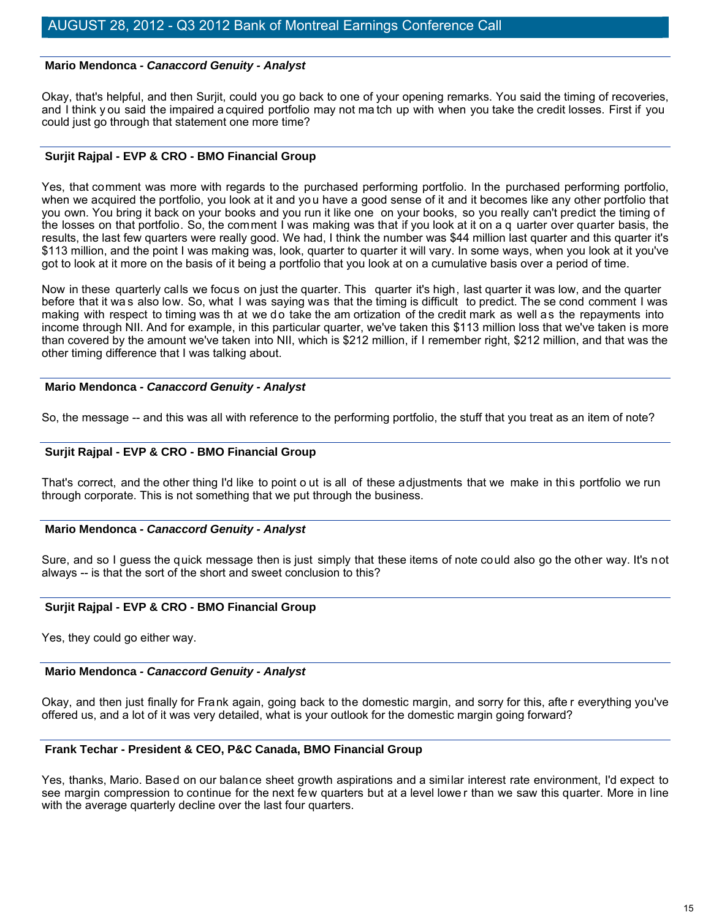## **Mario Mendonca** *- Canaccord Genuity - Analyst*

Okay, that's helpful, and then Surjit, could you go back to one of your opening remarks. You said the timing of recoveries, and I think y ou said the impaired a cquired portfolio may not ma tch up with when you take the credit losses. First if you could just go through that statement one more time?

### **Surjit Rajpal - EVP & CRO - BMO Financial Group**

Yes, that comment was more with regards to the purchased performing portfolio. In the purchased performing portfolio, when we acquired the portfolio, you look at it and yo u have a good sense of it and it becomes like any other portfolio that you own. You bring it back on your books and you run it like one on your books, so you really can't predict the timing of the losses on that portfolio. So, the comment I was making was that if you look at it on a q uarter over quarter basis, the results, the last few quarters were really good. We had, I think the number was \$44 million last quarter and this quarter it's \$113 million, and the point I was making was, look, quarter to quarter it will vary. In some ways, when you look at it you've got to look at it more on the basis of it being a portfolio that you look at on a cumulative basis over a period of time.

Now in these quarterly calls we focus on just the quarter. This quarter it's high, last quarter it was low, and the quarter before that it was also low. So, what I was saying was that the timing is difficult to predict. The se cond comment I was making with respect to timing was th at we do take the am ortization of the credit mark as well as the repayments into income through NII. And for example, in this particular quarter, we've taken this \$113 million loss that we've taken is more than covered by the amount we've taken into NII, which is \$212 million, if I remember right, \$212 million, and that was the other timing difference that I was talking about.

## **Mario Mendonca** *- Canaccord Genuity - Analyst*

So, the message -- and this was all with reference to the performing portfolio, the stuff that you treat as an item of note?

#### **Surjit Rajpal - EVP & CRO - BMO Financial Group**

That's correct, and the other thing I'd like to point o ut is all of these adjustments that we make in this portfolio we run through corporate. This is not something that we put through the business.

#### **Mario Mendonca** *- Canaccord Genuity - Analyst*

Sure, and so I guess the quick message then is just simply that these items of note could also go the other way. It's not always -- is that the sort of the short and sweet conclusion to this?

## **Surjit Rajpal - EVP & CRO - BMO Financial Group**

Yes, they could go either way.

#### **Mario Mendonca** *- Canaccord Genuity - Analyst*

Okay, and then just finally for Frank again, going back to the domestic margin, and sorry for this, afte r everything you've offered us, and a lot of it was very detailed, what is your outlook for the domestic margin going forward?

#### **Frank Techar - President & CEO, P&C Canada, BMO Financial Group**

Yes, thanks, Mario. Based on our balance sheet growth aspirations and a similar interest rate environment, I'd expect to see margin compression to continue for the next few quarters but at a level lowe r than we saw this quarter. More in line with the average quarterly decline over the last four quarters.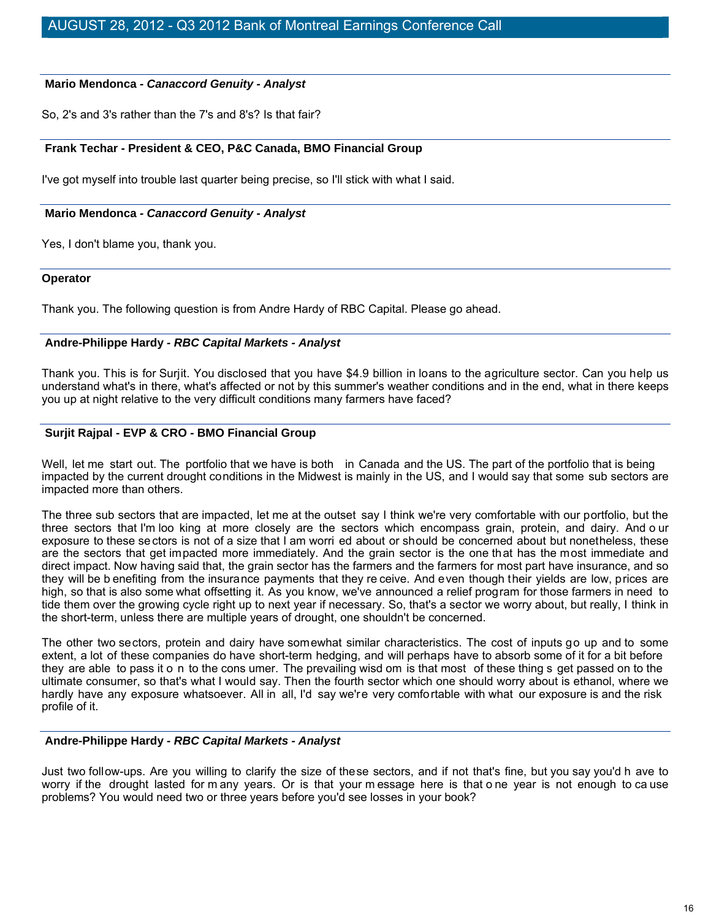## **Mario Mendonca** *- Canaccord Genuity - Analyst*

So, 2's and 3's rather than the 7's and 8's? Is that fair?

## **Frank Techar - President & CEO, P&C Canada, BMO Financial Group**

I've got myself into trouble last quarter being precise, so I'll stick with what I said.

### **Mario Mendonca** *- Canaccord Genuity - Analyst*

Yes, I don't blame you, thank you.

#### **Operator**

Thank you. The following question is from Andre Hardy of RBC Capital. Please go ahead.

## **Andre-Philippe Hardy** *- RBC Capital Markets - Analyst*

Thank you. This is for Surjit. You disclosed that you have \$4.9 billion in loans to the agriculture sector. Can you help us understand what's in there, what's affected or not by this summer's weather conditions and in the end, what in there keeps you up at night relative to the very difficult conditions many farmers have faced?

#### **Surjit Rajpal - EVP & CRO - BMO Financial Group**

Well, let me start out. The portfolio that we have is both in Canada and the US. The part of the portfolio that is being impacted by the current drought conditions in the Midwest is mainly in the US, and I would say that some sub sectors are impacted more than others.

The three sub sectors that are impacted, let me at the outset say I think we're very comfortable with our portfolio, but the three sectors that I'm loo king at more closely are the sectors which encompass grain, protein, and dairy. And o ur exposure to these sectors is not of a size that I am worri ed about or should be concerned about but nonetheless, these are the sectors that get impacted more immediately. And the grain sector is the one that has the most immediate and direct impact. Now having said that, the grain sector has the farmers and the farmers for most part have insurance, and so they will be b enefiting from the insurance payments that they re ceive. And even though their yields are low, prices are high, so that is also some what offsetting it. As you know, we've announced a relief program for those farmers in need to tide them over the growing cycle right up to next year if necessary. So, that's a sector we worry about, but really, I think in the short-term, unless there are multiple years of drought, one shouldn't be concerned.

The other two sectors, protein and dairy have somewhat similar characteristics. The cost of inputs go up and to some extent, a lot of these companies do have short-term hedging, and will perhaps have to absorb some of it for a bit before they are able to pass it o n to the cons umer. The prevailing wisd om is that most of these thing s get passed on to the ultimate consumer, so that's what I would say. Then the fourth sector which one should worry about is ethanol, where we hardly have any exposure whatsoever. All in all, I'd say we're very comfortable with what our exposure is and the risk profile of it.

## **Andre-Philippe Hardy** *- RBC Capital Markets - Analyst*

Just two follow-ups. Are you willing to clarify the size of these sectors, and if not that's fine, but you say you'd h ave to worry if the drought lasted for m any years. Or is that your m essage here is that o ne year is not enough to ca use problems? You would need two or three years before you'd see losses in your book?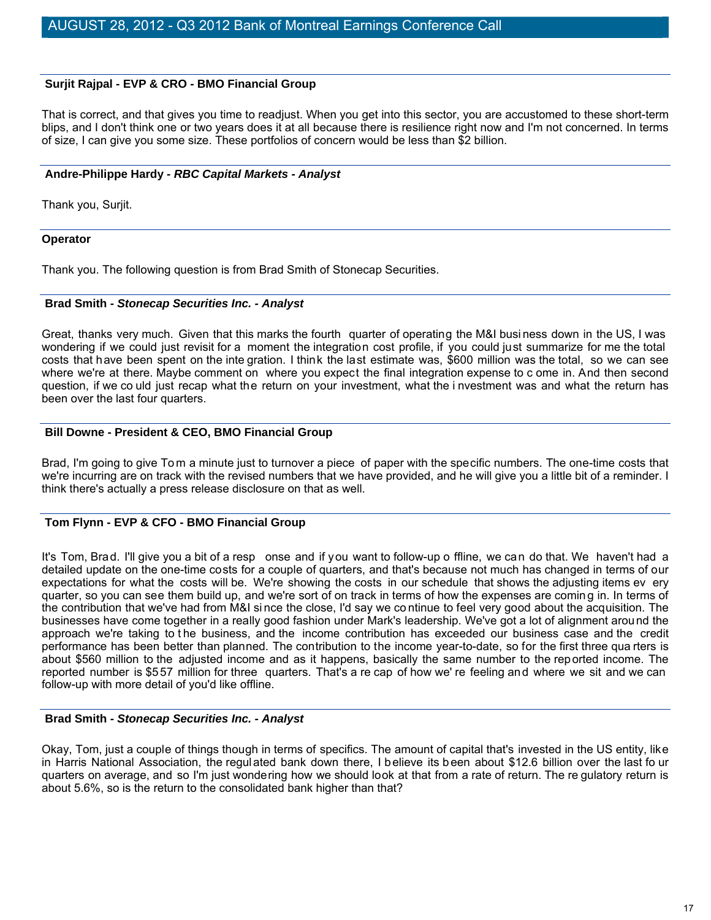## **Surjit Rajpal - EVP & CRO - BMO Financial Group**

That is correct, and that gives you time to readjust. When you get into this sector, you are accustomed to these short-term blips, and I don't think one or two years does it at all because there is resilience right now and I'm not concerned. In terms of size, I can give you some size. These portfolios of concern would be less than \$2 billion.

### **Andre-Philippe Hardy** *- RBC Capital Markets - Analyst*

Thank you, Surjit.

## **Operator**

Thank you. The following question is from Brad Smith of Stonecap Securities.

#### **Brad Smith** *- Stonecap Securities Inc. - Analyst*

Great, thanks very much. Given that this marks the fourth quarter of operating the M&I busi ness down in the US, I was wondering if we could just revisit for a moment the integration cost profile, if you could just summarize for me the total costs that have been spent on the inte gration. I think the last estimate was, \$600 million was the total, so we can see where we're at there. Maybe comment on where you expect the final integration expense to c ome in. And then second question, if we co uld just recap what the return on your investment, what the i nvestment was and what the return has been over the last four quarters.

## **Bill Downe - President & CEO, BMO Financial Group**

Brad, I'm going to give To m a minute just to turnover a piece of paper with the specific numbers. The one-time costs that we're incurring are on track with the revised numbers that we have provided, and he will give you a little bit of a reminder. I think there's actually a press release disclosure on that as well.

## **Tom Flynn - EVP & CFO - BMO Financial Group**

It's Tom, Brad. I'll give you a bit of a resp onse and if you want to follow-up o ffline, we can do that. We haven't had a detailed update on the one-time costs for a couple of quarters, and that's because not much has changed in terms of our expectations for what the costs will be. We're showing the costs in our schedule that shows the adjusting items ev ery quarter, so you can see them build up, and we're sort of on track in terms of how the expenses are comin g in. In terms of the contribution that we've had from M&I si nce the close, I'd say we co ntinue to feel very good about the acquisition. The businesses have come together in a really good fashion under Mark's leadership. We've got a lot of alignment around the approach we're taking to t he business, and the income contribution has exceeded our business case and the credit performance has been better than planned. The contribution to the income year-to-date, so for the first three qua rters is about \$560 million to the adjusted income and as it happens, basically the same number to the reported income. The reported number is \$557 million for three quarters. That's a re cap of how we' re feeling and where we sit and we can follow-up with more detail of you'd like offline.

## **Brad Smith** *- Stonecap Securities Inc. - Analyst*

Okay, Tom, just a couple of things though in terms of specifics. The amount of capital that's invested in the US entity, like in Harris National Association, the regulated bank down there, I believe its been about \$12.6 billion over the last fo ur quarters on average, and so I'm just wondering how we should look at that from a rate of return. The re gulatory return is about 5.6%, so is the return to the consolidated bank higher than that?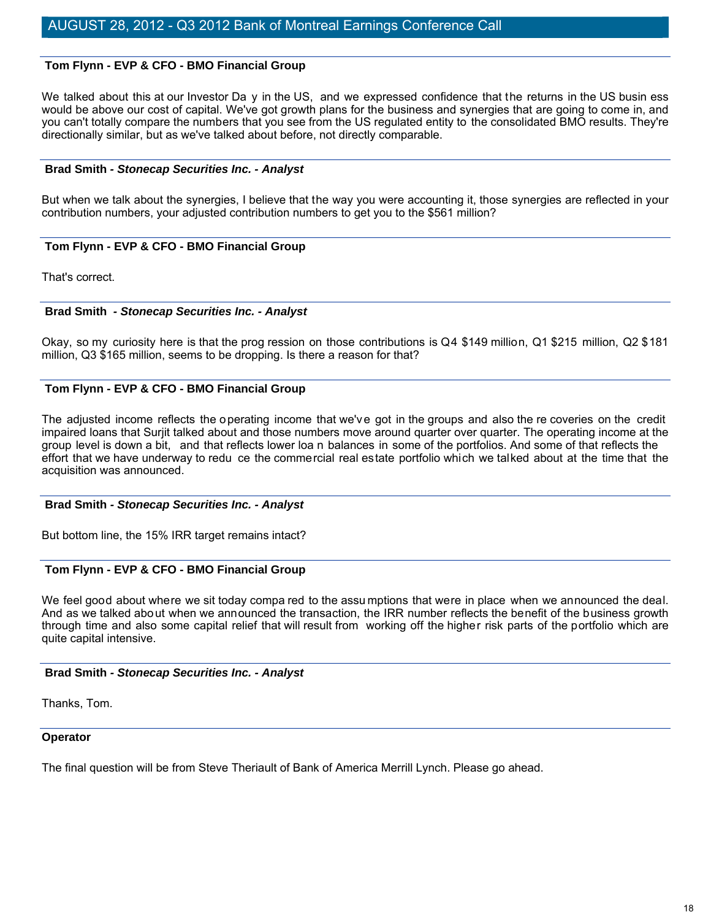## **Tom Flynn - EVP & CFO - BMO Financial Group**

We talked about this at our Investor Da y in the US, and we expressed confidence that the returns in the US busin ess would be above our cost of capital. We've got growth plans for the business and synergies that are going to come in, and you can't totally compare the numbers that you see from the US regulated entity to the consolidated BMO results. They're directionally similar, but as we've talked about before, not directly comparable.

## **Brad Smith** *- Stonecap Securities Inc. - Analyst*

But when we talk about the synergies, I believe that the way you were accounting it, those synergies are reflected in your contribution numbers, your adjusted contribution numbers to get you to the \$561 million?

## **Tom Flynn - EVP & CFO - BMO Financial Group**

That's correct.

#### **Brad Smith** *- Stonecap Securities Inc. - Analyst*

Okay, so my curiosity here is that the prog ression on those contributions is Q4 \$149 million, Q1 \$215 million, Q2 \$181 million, Q3 \$165 million, seems to be dropping. Is there a reason for that?

## **Tom Flynn - EVP & CFO - BMO Financial Group**

The adjusted income reflects the operating income that we've got in the groups and also the re coveries on the credit impaired loans that Surjit talked about and those numbers move around quarter over quarter. The operating income at the group level is down a bit, and that reflects lower loa n balances in some of the portfolios. And some of that reflects the effort that we have underway to redu ce the commercial real estate portfolio which we talked about at the time that the acquisition was announced.

#### **Brad Smith** *- Stonecap Securities Inc. - Analyst*

But bottom line, the 15% IRR target remains intact?

## **Tom Flynn - EVP & CFO - BMO Financial Group**

We feel good about where we sit today compa red to the assumptions that were in place when we announced the deal. And as we talked about when we announced the transaction, the IRR number reflects the benefit of the business growth through time and also some capital relief that will result from working off the higher risk parts of the portfolio which are quite capital intensive.

#### **Brad Smith** *- Stonecap Securities Inc. - Analyst*

Thanks, Tom.

#### **Operator**

The final question will be from Steve Theriault of Bank of America Merrill Lynch. Please go ahead.